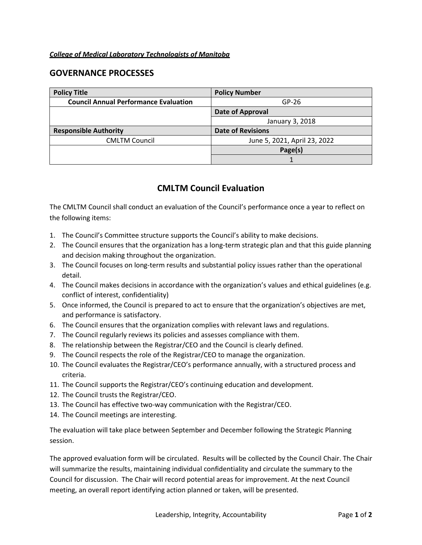## *College of Medical Laboratory Technologists of Manitoba*

## **GOVERNANCE PROCESSES**

| <b>Policy Title</b>                          | <b>Policy Number</b>         |
|----------------------------------------------|------------------------------|
| <b>Council Annual Performance Evaluation</b> | $GP-26$                      |
|                                              | Date of Approval             |
|                                              | January 3, 2018              |
| <b>Responsible Authority</b>                 | <b>Date of Revisions</b>     |
| <b>CMLTM Council</b>                         | June 5, 2021, April 23, 2022 |
|                                              | Page(s)                      |
|                                              |                              |

## **CMLTM Council Evaluation**

The CMLTM Council shall conduct an evaluation of the Council's performance once a year to reflect on the following items:

- 1. The Council's Committee structure supports the Council's ability to make decisions.
- 2. The Council ensures that the organization has a long-term strategic plan and that this guide planning and decision making throughout the organization.
- 3. The Council focuses on long-term results and substantial policy issues rather than the operational detail.
- 4. The Council makes decisions in accordance with the organization's values and ethical guidelines (e.g. conflict of interest, confidentiality)
- 5. Once informed, the Council is prepared to act to ensure that the organization's objectives are met, and performance is satisfactory.
- 6. The Council ensures that the organization complies with relevant laws and regulations.
- 7. The Council regularly reviews its policies and assesses compliance with them.
- 8. The relationship between the Registrar/CEO and the Council is clearly defined.
- 9. The Council respects the role of the Registrar/CEO to manage the organization.
- 10. The Council evaluates the Registrar/CEO's performance annually, with a structured process and criteria.
- 11. The Council supports the Registrar/CEO's continuing education and development.
- 12. The Council trusts the Registrar/CEO.
- 13. The Council has effective two-way communication with the Registrar/CEO.
- 14. The Council meetings are interesting.

The evaluation will take place between September and December following the Strategic Planning session.

The approved evaluation form will be circulated. Results will be collected by the Council Chair. The Chair will summarize the results, maintaining individual confidentiality and circulate the summary to the Council for discussion. The Chair will record potential areas for improvement. At the next Council meeting, an overall report identifying action planned or taken, will be presented.